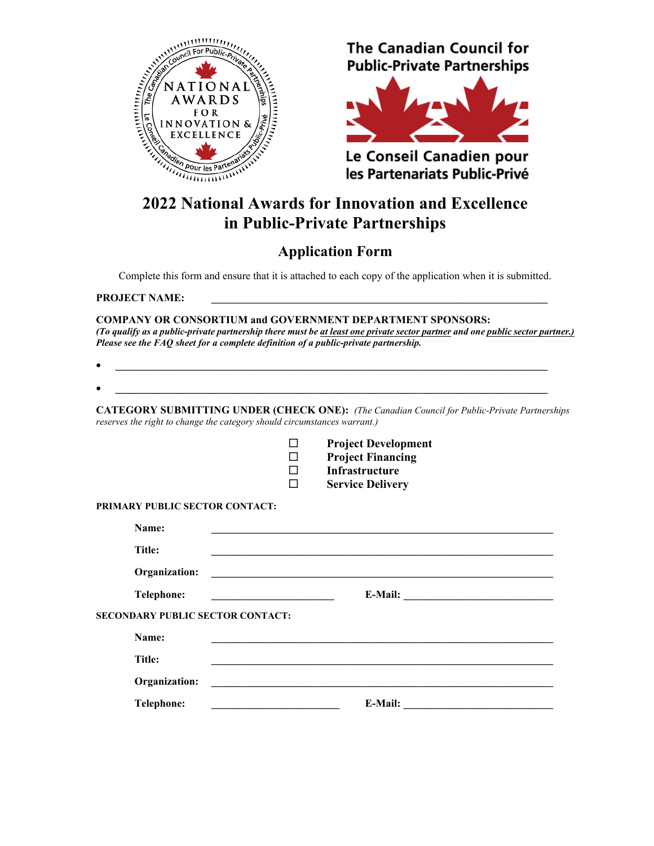

# **The Canadian Council for Public-Private Partnerships**



Le Conseil Canadien pour les Partenariats Public-Privé

# **2022 National Awards for Innovation and Excellence in Public-Private Partnerships**

# **Application Form**

Complete this form and ensure that it is attached to each copy of the application when it is submitted.

PROJECT NAME:

**COMPANY OR CONSORTIUM and GOVERNMENT DEPARTMENT SPONSORS:** *(To qualify as a public-private partnership there must be at least one private sector partner and one public sector partner.) Please see the FAQ sheet for a complete definition of a public-private partnership.*

|                                         | <u> 1989 - Johann Stein, marwolaethau a bhann an t-Amhainn an t-Amhainn an t-Amhainn an t-Amhainn an t-Amhainn an</u> |                                                                                                                      |
|-----------------------------------------|-----------------------------------------------------------------------------------------------------------------------|----------------------------------------------------------------------------------------------------------------------|
|                                         | reserves the right to change the category should circumstances warrant.)                                              | <b>CATEGORY SUBMITTING UNDER (CHECK ONE):</b> (The Canadian Council for Public-Private Partnerships                  |
|                                         |                                                                                                                       | <b>Project Development</b>                                                                                           |
|                                         |                                                                                                                       | <b>Project Financing</b>                                                                                             |
|                                         |                                                                                                                       | <b>Infrastructure</b>                                                                                                |
|                                         |                                                                                                                       | <b>Service Delivery</b>                                                                                              |
| PRIMARY PUBLIC SECTOR CONTACT:          |                                                                                                                       |                                                                                                                      |
| Name:                                   |                                                                                                                       |                                                                                                                      |
| <b>Title:</b>                           |                                                                                                                       |                                                                                                                      |
| Organization:                           |                                                                                                                       | <u> 1980 - Johann Barn, mars ann an t-Amhain Aonaich an t-Aonaich an t-Aonaich ann an t-Aonaich ann an t-Aonaich</u> |
| Telephone:                              |                                                                                                                       |                                                                                                                      |
| <b>SECONDARY PUBLIC SECTOR CONTACT:</b> |                                                                                                                       |                                                                                                                      |
| Name:                                   |                                                                                                                       |                                                                                                                      |
| <b>Title:</b>                           |                                                                                                                       |                                                                                                                      |
| Organization:                           |                                                                                                                       |                                                                                                                      |

**Telephone: \_\_\_\_\_\_\_\_\_\_\_\_\_\_\_\_\_\_\_\_\_\_\_\_ E-Mail: \_\_\_\_\_\_\_\_\_\_\_\_\_\_\_\_\_\_\_\_\_\_\_\_\_\_\_\_**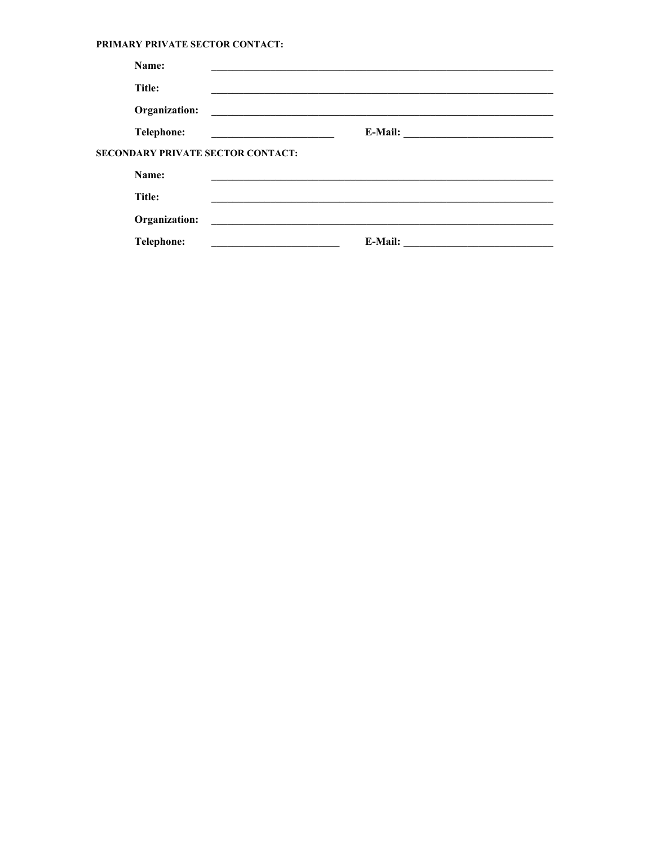#### PRIMARY PRIVATE SECTOR CONTACT:

| Name:                             |                                                                     |
|-----------------------------------|---------------------------------------------------------------------|
| Title:                            |                                                                     |
| Organization:                     | <u> 1989 - Andrea Station Barbara, amerikan personal (h. 1989).</u> |
| Telephone:                        |                                                                     |
| SECONDARY PRIVATE SECTOR CONTACT: |                                                                     |
| Name:                             |                                                                     |
| <b>Title:</b>                     |                                                                     |
| Organization:                     | <u> 1989 - John Stone, amerikansk politiker (d. 1989)</u>           |
| <b>Telephone:</b>                 | E-Mail:                                                             |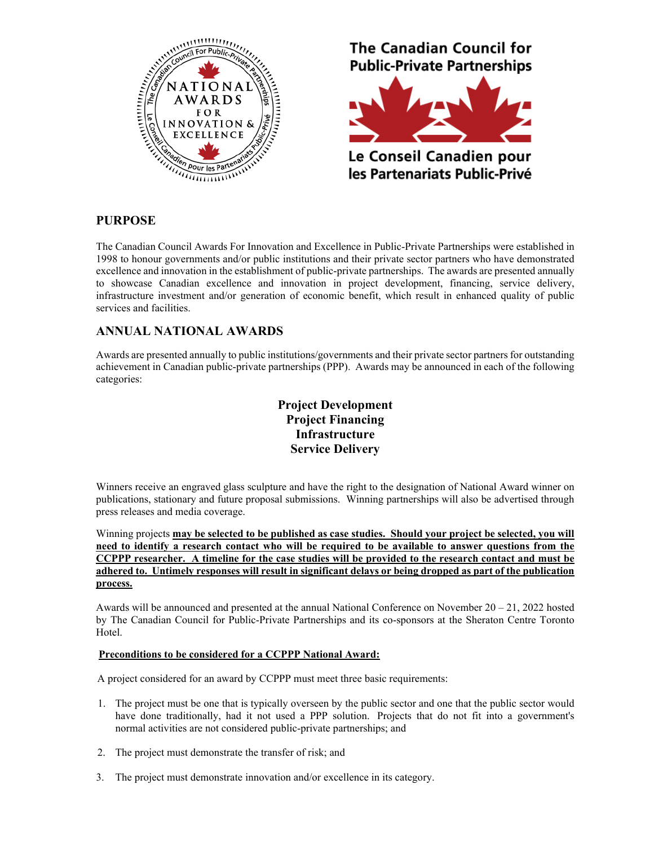

## **PURPOSE**

The Canadian Council Awards For Innovation and Excellence in Public-Private Partnerships were established in 1998 to honour governments and/or public institutions and their private sector partners who have demonstrated excellence and innovation in the establishment of public-private partnerships. The awards are presented annually to showcase Canadian excellence and innovation in project development, financing, service delivery, infrastructure investment and/or generation of economic benefit, which result in enhanced quality of public services and facilities.

## **ANNUAL NATIONAL AWARDS**

Awards are presented annually to public institutions/governments and their private sector partners for outstanding achievement in Canadian public-private partnerships (PPP). Awards may be announced in each of the following categories:

# **Project Development Project Financing Infrastructure Service Delivery**

Winners receive an engraved glass sculpture and have the right to the designation of National Award winner on publications, stationary and future proposal submissions. Winning partnerships will also be advertised through press releases and media coverage.

Winning projects **may be selected to be published as case studies. Should your project be selected, you will need to identify a research contact who will be required to be available to answer questions from the CCPPP researcher. A timeline for the case studies will be provided to the research contact and must be adhered to. Untimely responses will result in significant delays or being dropped as part of the publication process.**

Awards will be announced and presented at the annual National Conference on November  $20 - 21$ , 2022 hosted by The Canadian Council for Public-Private Partnerships and its co-sponsors at the Sheraton Centre Toronto Hotel.

#### **Preconditions to be considered for a CCPPP National Award:**

A project considered for an award by CCPPP must meet three basic requirements:

- 1. The project must be one that is typically overseen by the public sector and one that the public sector would have done traditionally, had it not used a PPP solution. Projects that do not fit into a government's normal activities are not considered public-private partnerships; and
- 2. The project must demonstrate the transfer of risk; and
- 3. The project must demonstrate innovation and/or excellence in its category.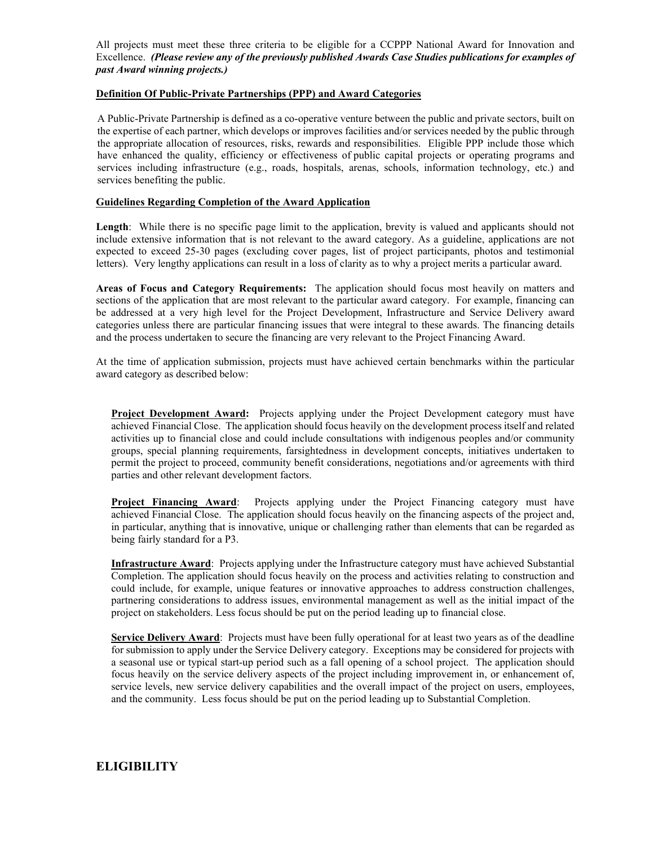All projects must meet these three criteria to be eligible for a CCPPP National Award for Innovation and Excellence. *(Please review any of the previously published Awards Case Studies publications for examples of past Award winning projects.)*

#### **Definition Of Public-Private Partnerships (PPP) and Award Categories**

A Public-Private Partnership is defined as a co-operative venture between the public and private sectors, built on the expertise of each partner, which develops or improves facilities and/or services needed by the public through the appropriate allocation of resources, risks, rewards and responsibilities. Eligible PPP include those which have enhanced the quality, efficiency or effectiveness of public capital projects or operating programs and services including infrastructure (e.g., roads, hospitals, arenas, schools, information technology, etc.) and services benefiting the public.

#### **Guidelines Regarding Completion of the Award Application**

**Length**: While there is no specific page limit to the application, brevity is valued and applicants should not include extensive information that is not relevant to the award category. As a guideline, applications are not expected to exceed 25-30 pages (excluding cover pages, list of project participants, photos and testimonial letters). Very lengthy applications can result in a loss of clarity as to why a project merits a particular award.

**Areas of Focus and Category Requirements:** The application should focus most heavily on matters and sections of the application that are most relevant to the particular award category. For example, financing can be addressed at a very high level for the Project Development, Infrastructure and Service Delivery award categories unless there are particular financing issues that were integral to these awards. The financing details and the process undertaken to secure the financing are very relevant to the Project Financing Award.

At the time of application submission, projects must have achieved certain benchmarks within the particular award category as described below:

**Project Development Award:** Projects applying under the Project Development category must have achieved Financial Close. The application should focus heavily on the development process itself and related activities up to financial close and could include consultations with indigenous peoples and/or community groups, special planning requirements, farsightedness in development concepts, initiatives undertaken to permit the project to proceed, community benefit considerations, negotiations and/or agreements with third parties and other relevant development factors.

**Project Financing Award:** Projects applying under the Project Financing category must have achieved Financial Close. The application should focus heavily on the financing aspects of the project and, in particular, anything that is innovative, unique or challenging rather than elements that can be regarded as being fairly standard for a P3.

**Infrastructure Award**: Projects applying under the Infrastructure category must have achieved Substantial Completion. The application should focus heavily on the process and activities relating to construction and could include, for example, unique features or innovative approaches to address construction challenges, partnering considerations to address issues, environmental management as well as the initial impact of the project on stakeholders. Less focus should be put on the period leading up to financial close.

**Service Delivery Award**: Projects must have been fully operational for at least two years as of the deadline for submission to apply under the Service Delivery category. Exceptions may be considered for projects with a seasonal use or typical start-up period such as a fall opening of a school project. The application should focus heavily on the service delivery aspects of the project including improvement in, or enhancement of, service levels, new service delivery capabilities and the overall impact of the project on users, employees, and the community. Less focus should be put on the period leading up to Substantial Completion.

# **ELIGIBILITY**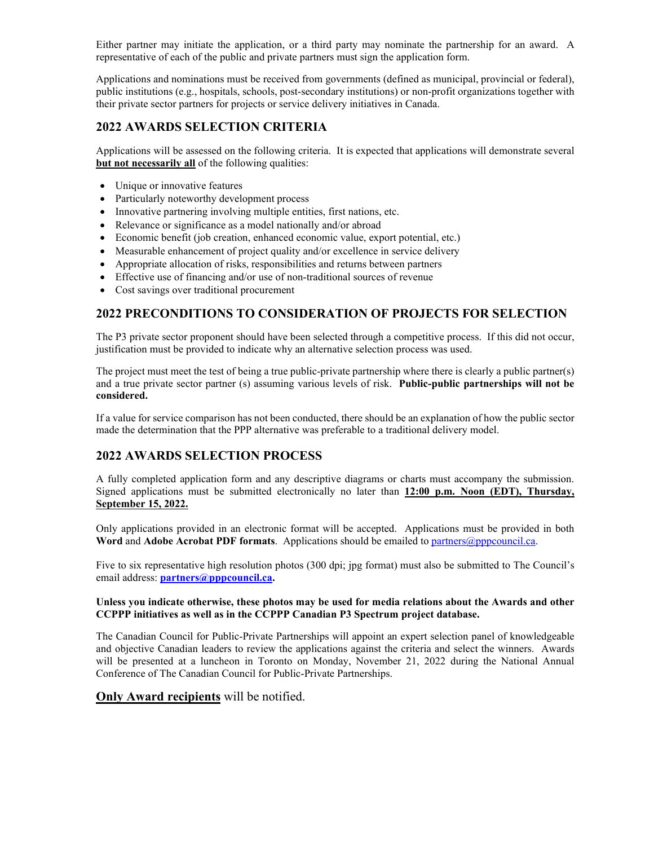Either partner may initiate the application, or a third party may nominate the partnership for an award. A representative of each of the public and private partners must sign the application form.

Applications and nominations must be received from governments (defined as municipal, provincial or federal), public institutions (e.g., hospitals, schools, post-secondary institutions) or non-profit organizations together with their private sector partners for projects or service delivery initiatives in Canada.

## **2022 AWARDS SELECTION CRITERIA**

Applications will be assessed on the following criteria. It is expected that applications will demonstrate several **but not necessarily all** of the following qualities:

- Unique or innovative features
- Particularly noteworthy development process
- Innovative partnering involving multiple entities, first nations, etc.
- Relevance or significance as a model nationally and/or abroad
- Economic benefit (job creation, enhanced economic value, export potential, etc.)
- Measurable enhancement of project quality and/or excellence in service delivery
- Appropriate allocation of risks, responsibilities and returns between partners
- Effective use of financing and/or use of non-traditional sources of revenue
- Cost savings over traditional procurement

## **2022 PRECONDITIONS TO CONSIDERATION OF PROJECTS FOR SELECTION**

The P3 private sector proponent should have been selected through a competitive process. If this did not occur, justification must be provided to indicate why an alternative selection process was used.

The project must meet the test of being a true public-private partnership where there is clearly a public partner(s) and a true private sector partner (s) assuming various levels of risk. **Public-public partnerships will not be considered.**

If a value for service comparison has not been conducted, there should be an explanation of how the public sector made the determination that the PPP alternative was preferable to a traditional delivery model.

## **2022 AWARDS SELECTION PROCESS**

A fully completed application form and any descriptive diagrams or charts must accompany the submission. Signed applications must be submitted electronically no later than **12:00 p.m. Noon (EDT), Thursday, September 15, 2022.**

Only applications provided in an electronic format will be accepted. Applications must be provided in both **Word** and **Adobe Acrobat PDF formats**. Applications should be emailed to [partners@pppcouncil.ca.](mailto:partners@pppcouncil.ca)

Five to six representative high resolution photos (300 dpi; jpg format) must also be submitted to The Council's email address: **[partners@pppcouncil.ca.](about:blank)**

#### **Unless you indicate otherwise, these photos may be used for media relations about the Awards and other CCPPP initiatives as well as in the CCPPP Canadian P3 Spectrum project database.**

The Canadian Council for Public-Private Partnerships will appoint an expert selection panel of knowledgeable and objective Canadian leaders to review the applications against the criteria and select the winners. Awards will be presented at a luncheon in Toronto on Monday, November 21, 2022 during the National Annual Conference of The Canadian Council for Public-Private Partnerships.

## **Only Award recipients** will be notified.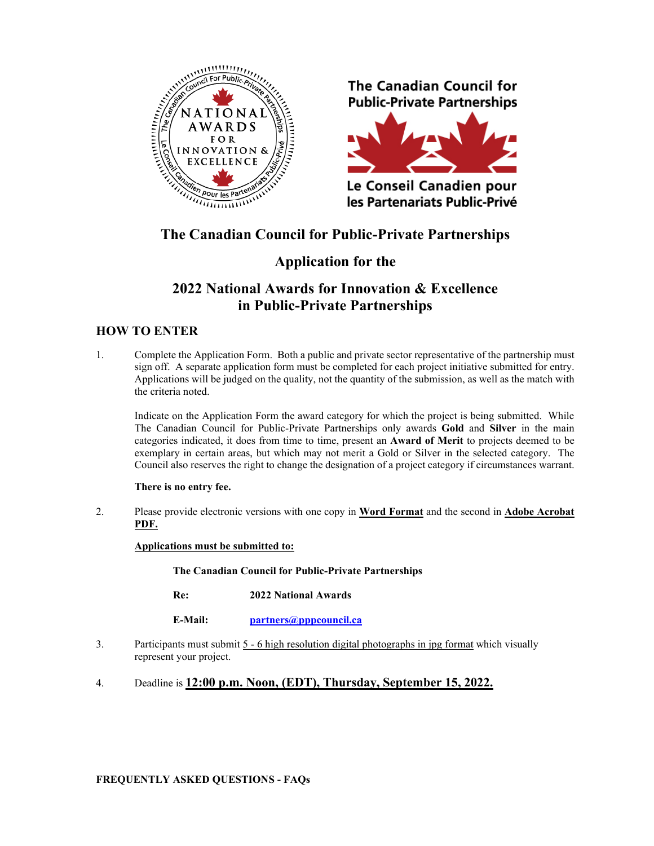![](_page_5_Picture_0.jpeg)

**The Canadian Council for Public-Private Partnerships** 

![](_page_5_Picture_2.jpeg)

Le Conseil Canadien pour les Partenariats Public-Privé

# **The Canadian Council for Public-Private Partnerships**

# **Application for the**

# **2022 National Awards for Innovation & Excellence in Public-Private Partnerships**

# **HOW TO ENTER**

1. Complete the Application Form. Both a public and private sector representative of the partnership must sign off. A separate application form must be completed for each project initiative submitted for entry. Applications will be judged on the quality, not the quantity of the submission, as well as the match with the criteria noted.

Indicate on the Application Form the award category for which the project is being submitted. While The Canadian Council for Public-Private Partnerships only awards **Gold** and **Silver** in the main categories indicated, it does from time to time, present an **Award of Merit** to projects deemed to be exemplary in certain areas, but which may not merit a Gold or Silver in the selected category. The Council also reserves the right to change the designation of a project category if circumstances warrant.

## **There is no entry fee.**

2. Please provide electronic versions with one copy in **Word Format** and the second in **Adobe Acrobat PDF.**

## **Applications must be submitted to:**

**The Canadian Council for Public-Private Partnerships**

**Re: 2022 National Awards**

**E-Mail: [partners@pppcouncil.ca](mailto:partners@pppcouncil.ca)**

- 3. Participants must submit  $5 6$  high resolution digital photographs in jpg format which visually represent your project.
- 4. Deadline is **12:00 p.m. Noon, (EDT), Thursday, September 15, 2022.**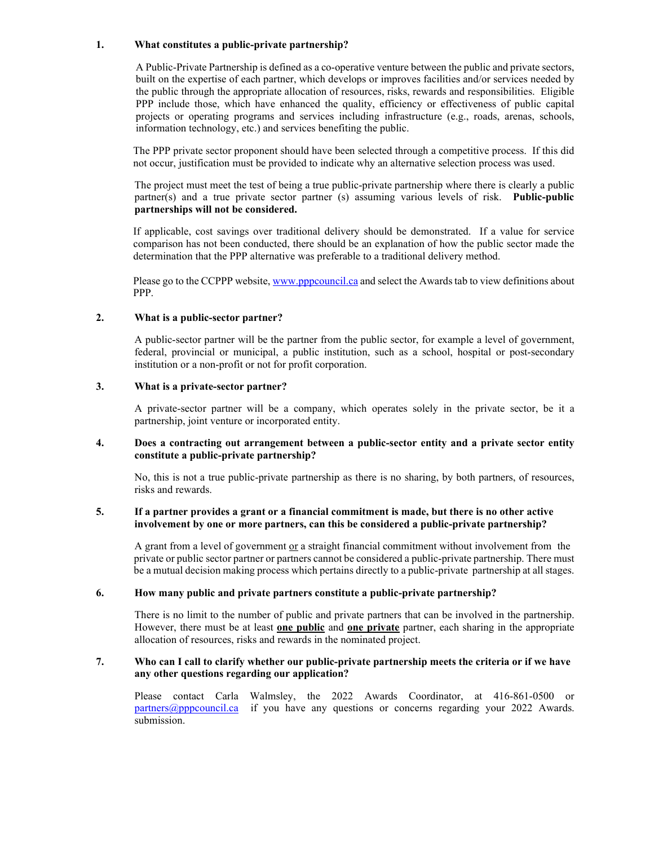#### **1. What constitutes a public-private partnership?**

A Public-Private Partnership is defined as a co-operative venture between the public and private sectors, built on the expertise of each partner, which develops or improves facilities and/or services needed by the public through the appropriate allocation of resources, risks, rewards and responsibilities. Eligible PPP include those, which have enhanced the quality, efficiency or effectiveness of public capital projects or operating programs and services including infrastructure (e.g., roads, arenas, schools, information technology, etc.) and services benefiting the public.

The PPP private sector proponent should have been selected through a competitive process. If this did not occur, justification must be provided to indicate why an alternative selection process was used.

The project must meet the test of being a true public-private partnership where there is clearly a public partner(s) and a true private sector partner (s) assuming various levels of risk. **Public-public partnerships will not be considered.**

If applicable, cost savings over traditional delivery should be demonstrated. If a value for service comparison has not been conducted, there should be an explanation of how the public sector made the determination that the PPP alternative was preferable to a traditional delivery method.

Please go to the CCPPP website, [www.pppcouncil.ca](about:blank) and select the Awards tab to view definitions about PPP.

#### **2. What is a public-sector partner?**

A public-sector partner will be the partner from the public sector, for example a level of government, federal, provincial or municipal, a public institution, such as a school, hospital or post-secondary institution or a non-profit or not for profit corporation.

#### **3. What is a private-sector partner?**

A private-sector partner will be a company, which operates solely in the private sector, be it a partnership, joint venture or incorporated entity.

#### **4. Does a contracting out arrangement between a public-sector entity and a private sector entity constitute a public-private partnership?**

No, this is not a true public-private partnership as there is no sharing, by both partners, of resources, risks and rewards.

#### **5. If a partner provides a grant or a financial commitment is made, but there is no other active involvement by one or more partners, can this be considered a public-private partnership?**

A grant from a level of government  $or$  a straight financial commitment without involvement from the</u> private or public sector partner or partners cannot be considered a public-private partnership. There must be a mutual decision making process which pertains directly to a public-private partnership at all stages.

#### **6. How many public and private partners constitute a public-private partnership?**

There is no limit to the number of public and private partners that can be involved in the partnership. However, there must be at least **one public** and **one private** partner, each sharing in the appropriate allocation of resources, risks and rewards in the nominated project.

#### **7. Who can I call to clarify whether our public-private partnership meets the criteria or if we have any other questions regarding our application?**

Please contact Carla Walmsley, the 2022 Awards Coordinator, at 416-861-0500 or  $partners@pppcountil.ca$  if you have any questions or concerns regarding your 2022 Awards. submission.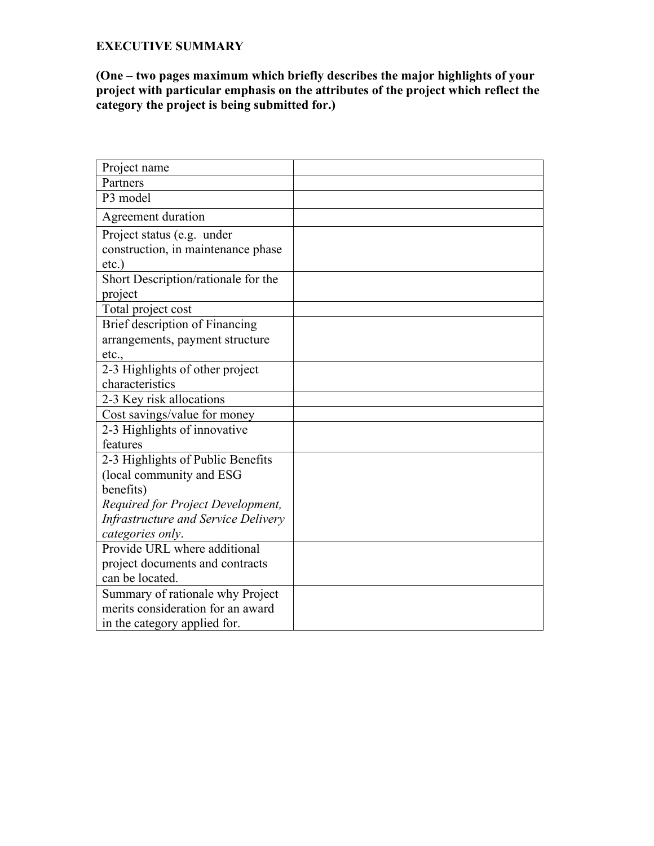## **EXECUTIVE SUMMARY**

**(One – two pages maximum which briefly describes the major highlights of your project with particular emphasis on the attributes of the project which reflect the category the project is being submitted for.)**

| Project name                        |  |
|-------------------------------------|--|
| Partners                            |  |
| P3 model                            |  |
| Agreement duration                  |  |
| Project status (e.g. under          |  |
| construction, in maintenance phase  |  |
| $etc.$ )                            |  |
| Short Description/rationale for the |  |
| project                             |  |
| Total project cost                  |  |
| Brief description of Financing      |  |
| arrangements, payment structure     |  |
| etc.,                               |  |
| 2-3 Highlights of other project     |  |
| characteristics                     |  |
| 2-3 Key risk allocations            |  |
| Cost savings/value for money        |  |
| 2-3 Highlights of innovative        |  |
| features                            |  |
| 2-3 Highlights of Public Benefits   |  |
| (local community and ESG            |  |
| benefits)                           |  |
| Required for Project Development,   |  |
| Infrastructure and Service Delivery |  |
| categories only.                    |  |
| Provide URL where additional        |  |
| project documents and contracts     |  |
| can be located.                     |  |
| Summary of rationale why Project    |  |
| merits consideration for an award   |  |
| in the category applied for.        |  |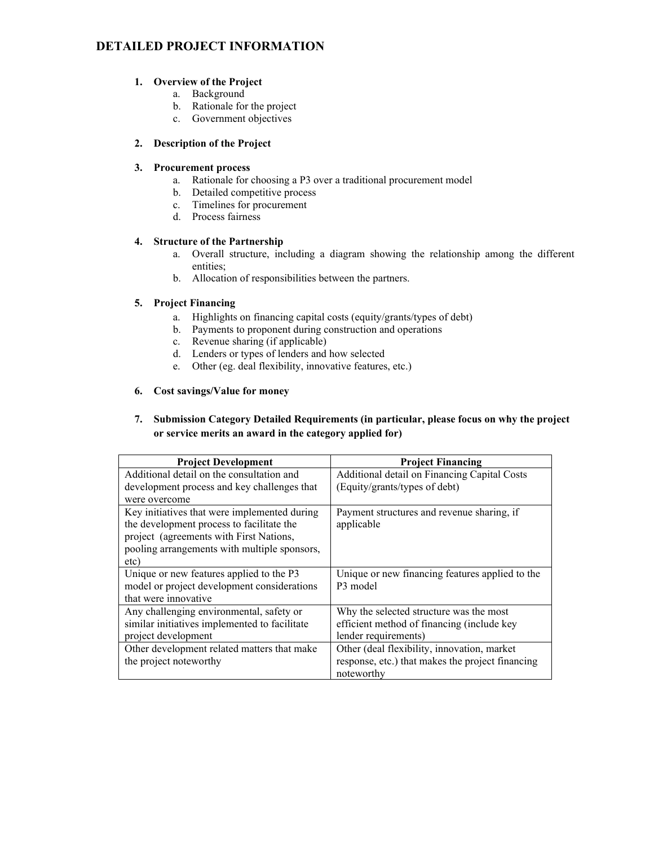# **DETAILED PROJECT INFORMATION**

#### **1. Overview of the Project**

- a. Background
- b. Rationale for the project
- c. Government objectives

#### **2. Description of the Project**

#### **3. Procurement process**

- a. Rationale for choosing a P3 over a traditional procurement model
- b. Detailed competitive process
- c. Timelines for procurement
- d. Process fairness

## **4. Structure of the Partnership**

- a. Overall structure, including a diagram showing the relationship among the different entities;
- b. Allocation of responsibilities between the partners.

#### **5. Project Financing**

- a. Highlights on financing capital costs (equity/grants/types of debt)
- b. Payments to proponent during construction and operations
- c. Revenue sharing (if applicable)
- d. Lenders or types of lenders and how selected
- e. Other (eg. deal flexibility, innovative features, etc.)

#### **6. Cost savings/Value for money**

### **7. Submission Category Detailed Requirements (in particular, please focus on why the project or service merits an award in the category applied for)**

| <b>Project Development</b>                    | <b>Project Financing</b>                         |  |  |
|-----------------------------------------------|--------------------------------------------------|--|--|
| Additional detail on the consultation and     | Additional detail on Financing Capital Costs     |  |  |
| development process and key challenges that   | (Equity/grants/types of debt)                    |  |  |
| were overcome                                 |                                                  |  |  |
| Key initiatives that were implemented during  | Payment structures and revenue sharing, if       |  |  |
| the development process to facilitate the     | applicable                                       |  |  |
| project (agreements with First Nations,       |                                                  |  |  |
| pooling arrangements with multiple sponsors,  |                                                  |  |  |
| etc)                                          |                                                  |  |  |
| Unique or new features applied to the P3      | Unique or new financing features applied to the  |  |  |
| model or project development considerations   | P3 model                                         |  |  |
| that were innovative                          |                                                  |  |  |
| Any challenging environmental, safety or      | Why the selected structure was the most          |  |  |
| similar initiatives implemented to facilitate | efficient method of financing (include key       |  |  |
| project development                           | lender requirements)                             |  |  |
| Other development related matters that make   | Other (deal flexibility, innovation, market      |  |  |
| the project noteworthy                        | response, etc.) that makes the project financing |  |  |
|                                               | noteworthy                                       |  |  |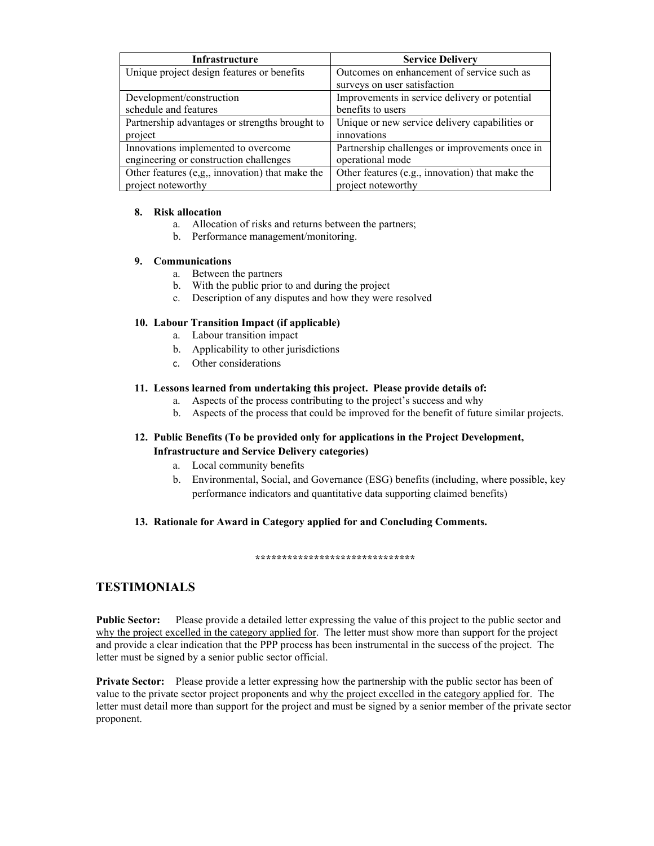| Infrastructure                                  | <b>Service Delivery</b>                         |  |  |
|-------------------------------------------------|-------------------------------------------------|--|--|
| Unique project design features or benefits      | Outcomes on enhancement of service such as      |  |  |
|                                                 | surveys on user satisfaction                    |  |  |
| Development/construction                        | Improvements in service delivery or potential   |  |  |
| schedule and features                           | benefits to users                               |  |  |
| Partnership advantages or strengths brought to  | Unique or new service delivery capabilities or  |  |  |
| project                                         | innovations                                     |  |  |
| Innovations implemented to overcome             | Partnership challenges or improvements once in  |  |  |
| engineering or construction challenges          | operational mode                                |  |  |
| Other features (e,g,, innovation) that make the | Other features (e.g., innovation) that make the |  |  |
| project noteworthy                              | project noteworthy                              |  |  |

### **8. Risk allocation**

- a. Allocation of risks and returns between the partners;
- b. Performance management/monitoring.

### **9. Communications**

- a. Between the partners
- b. With the public prior to and during the project
- c. Description of any disputes and how they were resolved

## **10. Labour Transition Impact (if applicable)**

- a. Labour transition impact
- b. Applicability to other jurisdictions
- c. Other considerations

## **11. Lessons learned from undertaking this project. Please provide details of:**

- a. Aspects of the process contributing to the project's success and why
- b. Aspects of the process that could be improved for the benefit of future similar projects.

## **12. Public Benefits (To be provided only for applications in the Project Development, Infrastructure and Service Delivery categories)**

- a. Local community benefits
- b. Environmental, Social, and Governance (ESG) benefits (including, where possible, key performance indicators and quantitative data supporting claimed benefits)

## **13. Rationale for Award in Category applied for and Concluding Comments.**

#### **\*\*\*\*\*\*\*\*\*\*\*\*\*\*\*\*\*\*\*\*\*\*\*\*\*\*\*\*\*\***

## **TESTIMONIALS**

**Public Sector:** Please provide a detailed letter expressing the value of this project to the public sector and why the project excelled in the category applied for. The letter must show more than support for the project and provide a clear indication that the PPP process has been instrumental in the success of the project. The letter must be signed by a senior public sector official.

**Private Sector:** Please provide a letter expressing how the partnership with the public sector has been of value to the private sector project proponents and why the project excelled in the category applied for. The letter must detail more than support for the project and must be signed by a senior member of the private sector proponent.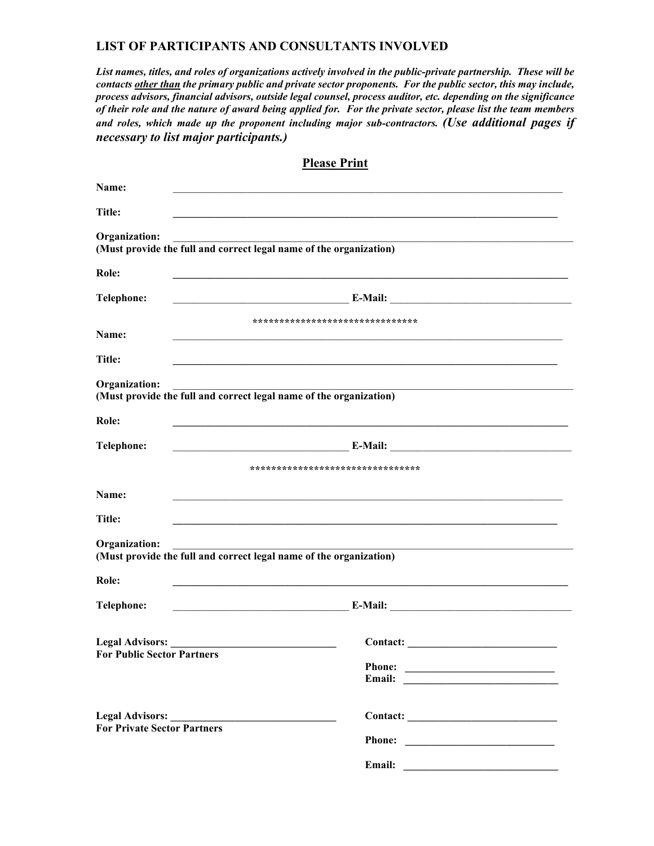## **LIST OF PARTICIPANTS AND CONSULTANTS INVOLVED**

*List names, titles, and roles of organizations actively involved in the public-private partnership. These will be contacts other than the primary public and private sector proponents. For the public sector, this may include, process advisors, financial advisors, outside legal counsel, process auditor, etc. depending on the significance of their role and the nature of award being applied for. For the private sector, please list the team members and roles, which made up the proponent including major sub-contractors. (Use additional pages if necessary to list major participants.)*

| Name:                                                                               |                                                                                                                       |  |  |  |
|-------------------------------------------------------------------------------------|-----------------------------------------------------------------------------------------------------------------------|--|--|--|
| Title:                                                                              |                                                                                                                       |  |  |  |
| Organization:                                                                       | (Must provide the full and correct legal name of the organization)                                                    |  |  |  |
| Role:                                                                               |                                                                                                                       |  |  |  |
| Telephone:                                                                          | <u> 1989 - Johann Barbara, martin da basar da basar da basar da basar da basar da basar da basar da basar da basa</u> |  |  |  |
| Name:                                                                               | *******************************                                                                                       |  |  |  |
| Title:                                                                              |                                                                                                                       |  |  |  |
| Organization:<br>(Must provide the full and correct legal name of the organization) |                                                                                                                       |  |  |  |
| Role:                                                                               |                                                                                                                       |  |  |  |
| <b>Telephone:</b>                                                                   | <u> 1980 - Johann John Stein, markin santa a</u>                                                                      |  |  |  |
|                                                                                     | ********************************                                                                                      |  |  |  |
| Name:                                                                               |                                                                                                                       |  |  |  |
| <b>Title:</b>                                                                       |                                                                                                                       |  |  |  |
| Organization:<br>(Must provide the full and correct legal name of the organization) |                                                                                                                       |  |  |  |
| Role:                                                                               |                                                                                                                       |  |  |  |
| <b>Telephone:</b>                                                                   |                                                                                                                       |  |  |  |
| Legal Advisors:<br><b>For Public Sector Partners</b>                                |                                                                                                                       |  |  |  |
| <b>For Private Sector Partners</b>                                                  |                                                                                                                       |  |  |  |
|                                                                                     |                                                                                                                       |  |  |  |

**Please Print**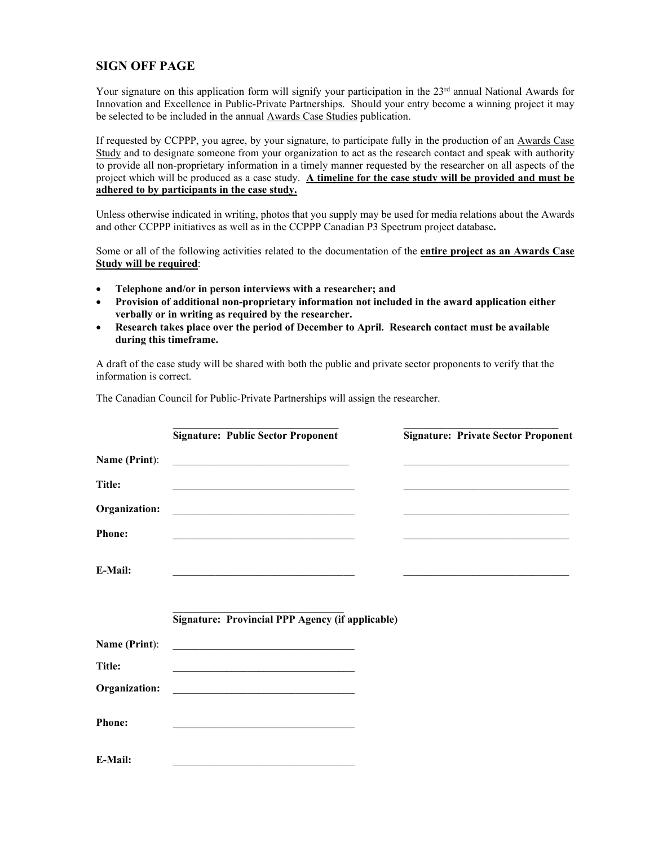# **SIGN OFF PAGE**

Your signature on this application form will signify your participation in the 23rd annual National Awards for Innovation and Excellence in Public-Private Partnerships. Should your entry become a winning project it may be selected to be included in the annual Awards Case Studies publication.

If requested by CCPPP, you agree, by your signature, to participate fully in the production of an Awards Case Study and to designate someone from your organization to act as the research contact and speak with authority to provide all non-proprietary information in a timely manner requested by the researcher on all aspects of the project which will be produced as a case study. **A timeline for the case study will be provided and must be adhered to by participants in the case study.**

Unless otherwise indicated in writing, photos that you supply may be used for media relations about the Awards and other CCPPP initiatives as well as in the CCPPP Canadian P3 Spectrum project database**.**

Some or all of the following activities related to the documentation of the **entire project as an Awards Case Study will be required**:

- **Telephone and/or in person interviews with a researcher; and**
- **Provision of additional non-proprietary information not included in the award application either verbally or in writing as required by the researcher.**
- **Research takes place over the period of December to April. Research contact must be available during this timeframe.**

A draft of the case study will be shared with both the public and private sector proponents to verify that the information is correct.

The Canadian Council for Public-Private Partnerships will assign the researcher.

|               | <b>Signature: Public Sector Proponent</b>                                                                              |  | <b>Signature: Private Sector Proponent</b>                                                                                                                                                                                    |
|---------------|------------------------------------------------------------------------------------------------------------------------|--|-------------------------------------------------------------------------------------------------------------------------------------------------------------------------------------------------------------------------------|
| Name (Print): |                                                                                                                        |  |                                                                                                                                                                                                                               |
| Title:        | <u> 1989 - Johann John Stone, mars eta biztanleria (h. 1989).</u>                                                      |  |                                                                                                                                                                                                                               |
| Organization: |                                                                                                                        |  | the control of the control of the control of the control of the control of the control of the control of the control of the control of the control of the control of the control of the control of the control of the control |
| <b>Phone:</b> | <u> 1990 - Johann Barbara, martin amerikan basal dan berasal dan berasal dalam basal dalam basal dalam basal dala</u>  |  | the control of the control of the control of the control of the control of the control of the control of the control of the control of the control of the control of the control of the control of the control of the control |
| E-Mail:       |                                                                                                                        |  |                                                                                                                                                                                                                               |
|               | <b>Signature: Provincial PPP Agency (if applicable)</b>                                                                |  |                                                                                                                                                                                                                               |
| Name (Print): | <u> 1989 - Johann Barbara, martin da kasas a</u>                                                                       |  |                                                                                                                                                                                                                               |
| Title:        | <u> 1919 - Johann John Harry Harry Harry Harry Harry Harry Harry Harry Harry Harry Harry Harry Harry Harry Harry H</u> |  |                                                                                                                                                                                                                               |
| Organization: | <u> 1989 - Jan Barbara, margaret eta biztanleria (h. 1989).</u>                                                        |  |                                                                                                                                                                                                                               |
| <b>Phone:</b> |                                                                                                                        |  |                                                                                                                                                                                                                               |
| E-Mail:       |                                                                                                                        |  |                                                                                                                                                                                                                               |